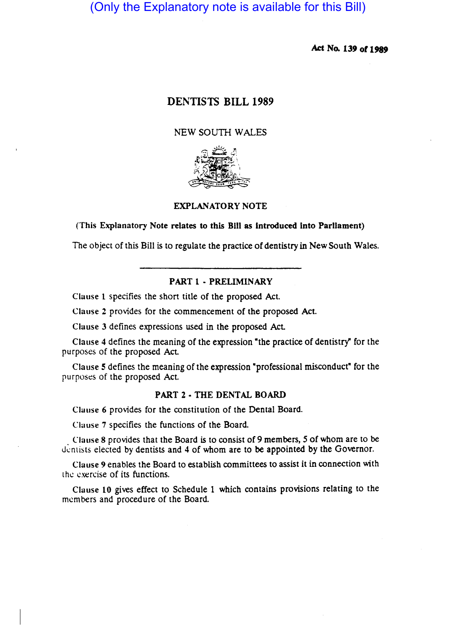# (Only the Explanatory note is available for this Bill)

Act No. 139 of 1989

# DENTISTS BILL 1989

## NEW SOUTH WALES



## EXPLANATORY NOTE

## (This Explanatory Note relates to this Bill as introduced Into Parliament)

The object of this Bill is to regulate the practice of dentistry in New South Wales.

## PART 1 - PRELIMINARY

Clause 1 specifies the short title of the proposed Act.

Clause 2 provides for the commencement of the proposed Act.

Clause 3 defines expressions used in the proposed Act

Clause 4 defines the meaning of the expression "the practice of dentistry" for the purposes of the proposed Act.

Clause 5 defines the meaning of the expression "professional misconduct" for the purposes of the proposed Act.

## PART 2 • THE DENTAL BOARD

Clause 6 provides for the constitution of the Dental Board.

Clause 7 specifies the functions of the Board.

Clause 8 provides that the Board is to consist of 9 members, 5 of whom are to be dentists elected by dentists and 4 of whom are to be appointed by the Governor.

Clause 9 enables the Board to establish committees to assist it in connection with the exercise of its functions.

Clause 10 gives effect to Schedule 1 which contains provisions relating to the members and procedure of the Board.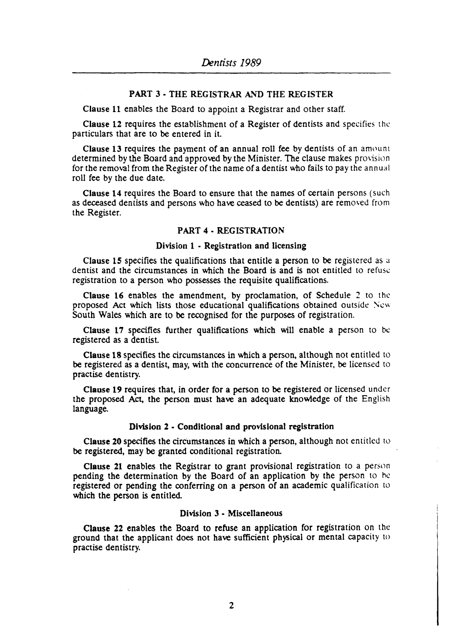## PART 3 - THE REGISTRAR AND THE REGISTER

Clause 11 enables the Board to appoint a Registrar and other staff.

Clause 12 requires the establishment of a Register of dentists and specifies the particulars that are to be entered in it.

Clause 13 requires the payment of an annual roll fee by dentists of an amount determined by the Board and approved by the Minister. The clause makes provision for the removal from the Register of the name of a dentist who fails to pay the annual roll fee by the due date.

Clause 14 requires the Board to ensure that the names of certain persons (such as deceased dentists and persons who have ceased to be dentists) are removed from the Register.

### PART 4 - REGISTRATION

#### Division 1 - Registration and licensing

Clause 15 specifies the qualifications that entitle a person to be registered as a dentist and the circumstances in which the Board is and is not entitled to refuse registration to a person who possesses the requisite qualifications.

Clause 16 enables the amendment, by proclamation, of Schedule 2 to the proposed Act which lists those educational qualifications obtained outside New South Wales which are to be recognised for the purposes of registration.

Clause 17 specifies further qualifications which will enable a person to be registered as a dentist.

Clause 18 specifies the circumstances in which a person, although not entitled to be registered as a dentist, may, with the concurrence of the Minister, be licensed to practise dentistry.

Clause 19 requires that, in order for a person to be registered or licensed under the proposed Act, the person must have an adequate knowledge of the English language.

## Division 2 - Conditional and provisional registration

Clause 20 specifies the circumstances in which a person, although not entitled to be registered, may be granted conditional registration.

Clause 21 enables the Registrar to grant provisional registration to a person pending the determination by the Board of an application by the person to he registered or pending the conferring on a person of an academic qualification to which the person is entitled.

## Division 3 - Miscellaneous

Clause 22 enables the Board to refuse an application for registration on the ground that the applicant does not have sufficient physical or mental capacity to practise dentistry.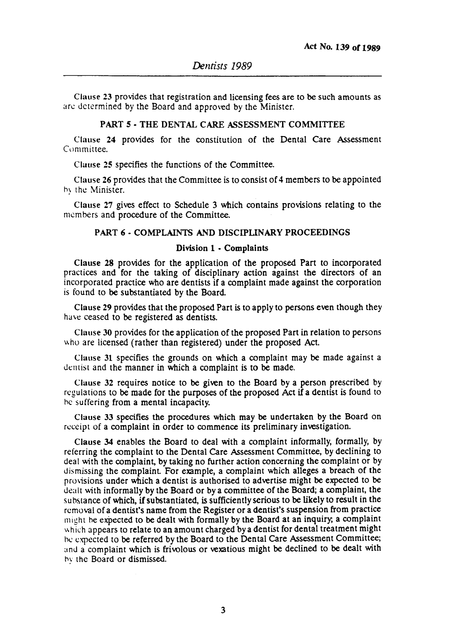Cluuse 23 provides that registration and licensing fees are to be such amounts as are determined by the Board and approved by the Minister.

## PART 5 • THE DENTAL CARE ASSESSMENT COMMITTEE

Clause 24 provides for the constitution of the Dental Care Assessment Committee.

Clause 25 specifies the functions of the Committee.

Clause 26 provides that the Committee is to consist of 4 members to be appointed hy the Minister.

Clause 27 gives effect to Schedule 3 which contains provisions relating to the members and procedure of the Committee.

#### PART 6 - COMPLAINTS AND DISCIPLINARY PROCEEDINGS

#### Division 1 • Complaints

Clause 28 provides for the application of the proposed Part to incorporated practices and for the taking of disciplinary action against the directors of an incorporated practice who are dentists if a complaint made against the corporation is found to be substantiated by the Board.

Clause 29 provides that the proposed Part is to apply to persons even though they have ceased to be registered as dentists.

Clause 30 provides for the application of the proposed Part in relation to persons who are licensed (rather than registered) under the proposed Act.

Clause 31 specifies the grounds on which a complaint may be made against a dentist and the manner in which a complaint is to be made.

Clause 32 requires notice to be given to the Board by a person prescribed by regulations to be made for the purposes of the proposed Act if a dentist is found to he suffering from a mental incapacity.

Clause 33 specifies the procedures which may be undertaken by the Board on receipt of a complaint in order to commence its preliminary investigation.

Clause 34 enables the Board to deal with a complaint informally, formally, by referring the complaint to the Dental Care Assessment Committee, by declining to deal with the complaint, by taking no further action concerning the complaint or by dismissing the complaint For example, a complaint which alleges a breach of the provisions under which a dentist is authorised to advertise might be expected to be dealt with informally by the Board or by a committee of the Board; a complaint, the substance of which, if substantiated, is sufficiently serious to be likely to result in the removal of a dentist's name from the Register or a dentist's suspension from practice might be expected to be dealt with formally by the Board at an inquiry, a complaint which appears to relate to an amount charged by a dentist for dental treatment might he expected to be referred by the Board to the Dental Care Assessment Committee; and a complaint which is frivolous or vexatious might be declined to be dealt with hy the Board or dismissed.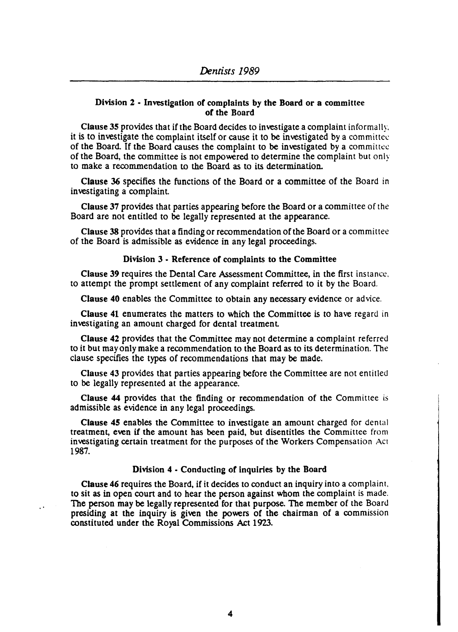## Division 2 • Investigation of complaints by the Board or a committee of the Board

Clause 3S provides that if the Board decides to investigate a complaint informally. it is to investigate the complaint itself or cause it to be investigated by a committee of the Board. If the Board causes the complaint to be investigated by a committee of the Board, the committee is not empowered to determine the complaint but only to make a recommendation to the Board as to its determination.

Clause 36 specifies the functions of the Board or a committee of the Board in investigating a complaint.

Clause 37 provides that parties appearing before the Board or a committee of the Board are not entitled to be legally represented at the appearance.

Clause 38 provides that a finding or recommendation of the Board or a committee of the Board is admissible as evidence in any legal proceedings.

## Division 3 • Reference of complaints to the Committee

Clause 39 requires the Dental Care Assessment Committee, in the first instance. to attempt the prompt settlement of any complaint referred to it by the Board.

Clause 40 enables the Committee to obtain any necessary evidence or advice.

Clause 41 enumerates the matters to which the Committee is to have regard in investigating an amount charged for dental treatment

Clause 42 provides that the Committee may not determine a complaint referred to it but may only make a recommendation to the Board as to its determination. The clause specifies the types of recommendations that may be made.

Clause 43 provides that parties appearing before the Committee are not entitled to be legally represented at the appearance.

Clause 44 provides that the finding or recommendation of the Committee is admissible as evidence in any legal proceedings.

Clause *4S* enables the Committee to investigate an amount charged for dental treatment, even if the amount has been paid, but disentitles the Committee from investigating certain treatment for the purposes of the Workers Compensation Act 1987.

## Division 4 • Conducting of inquiries by the Board

Clause 46 requires the Board, if it decides to conduct an inquiry into a complaint. to sit as in open court and to hear the person against whom the complaint is made. The person may be legally represented for that purpose. The member of the Board presiding at the inquiry is given the powers of the chairman of a commission constituted under the Royal Commissions Act 1923.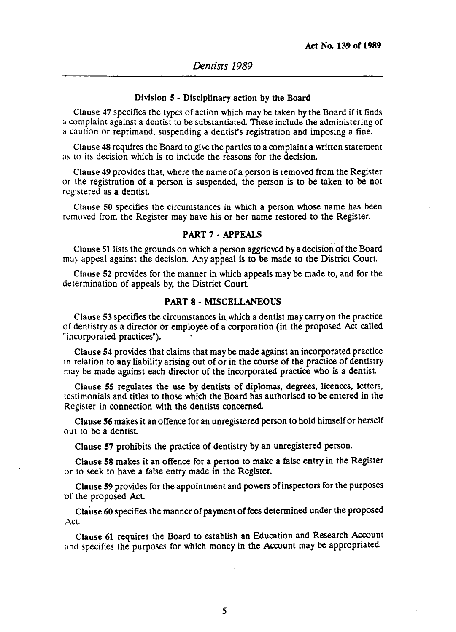#### Division 5 • Disciplinary action by the Board

Clause 47 specifies the types of action which may be taken by the Board if it finds a complaint against a dentist to be substantiated. These include the administering of a caution or reprimand, suspending a dentist's registration and imposing a fine.

Clause 48 requires the Board to give the parties to a complaint a written statement as to its decision which is to include the reasons for the decision.

Clause 49 provides that, where the name of a person is removed from the Register or the registration of a person is suspended, the person is to be taken to be not registered as a dentist

Clause 50 specifies the circumstances in which a person whose name has been removed from the Register may have his or her name restored to the Register.

#### PART 7 - APPEALS

Clause 51 lists the grounds on which a person aggrieved by a decision of the Board may appeal against the decision. Any appeal is to be made to the District Court.

Clause 52 provides for the manner in which appeals may be made to, and for the determination of appeals by, the District Court

#### PART 8· MISCELLANEOUS

Clause 53 specifies the circumstances in which a dentist may carry on the practice of dentistry as a director or employee of a corporation (in the proposed Act called "incorporated practices"). .

Clause 54 provides that claims that may be made against an incorporated practice in relation to any liability arising out of or in the course of the practice of dentistry may be made against each director of the incorporated practice who is a dentist.

Clause 55 regulates the use by dentists of diplomas, degrees, licences, letters, testimonials and titles to those which the Board has authorised to be entered in the Register in connection with the dentists concerned.

Clause 56 makes it an offence for an unregistered person to hold himself or herself out to be a dentist

Clause 57 prohibits the practice of dentistry by an unregistered person.

Clause 58 makes it an offence for a person to make a false entry in the Register or to seek to have a false entry made in the Register.

Clause 59 provides for the appointment and powers of inspectors for the purposes of the proposed Act

Clause 60 specifies the manner of payment of fees determined under the proposed Act.

Clause 61 requires the Board to establish an Education and Research Account and specifies the purposes for which money in the Account may be appropriated.